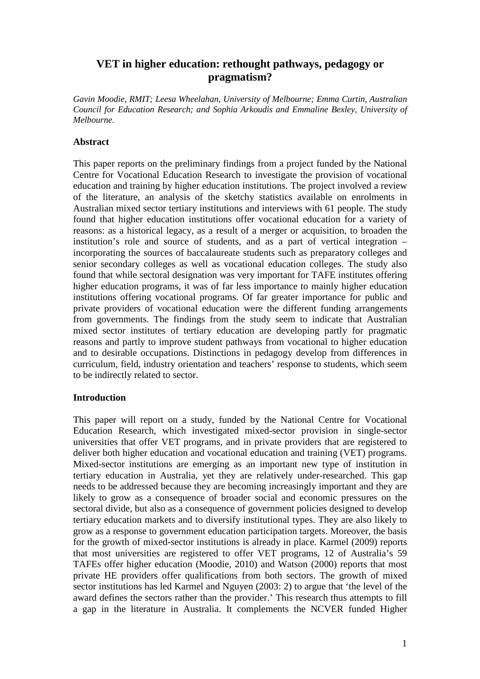# **VET in higher education: rethought pathways, pedagogy or pragmatism?**

*Gavin Moodie, RMIT; Leesa Wheelahan, University of Melbourne; Emma Curtin, Australian Council for Education Research; and Sophia Arkoudis and Emmaline Bexley, University of Melbourne.* 

## **Abstract**

This paper reports on the preliminary findings from a project funded by the National Centre for Vocational Education Research to investigate the provision of vocational education and training by higher education institutions. The project involved a review of the literature, an analysis of the sketchy statistics available on enrolments in Australian mixed sector tertiary institutions and interviews with 61 people. The study found that higher education institutions offer vocational education for a variety of reasons: as a historical legacy, as a result of a merger or acquisition, to broaden the institution's role and source of students, and as a part of vertical integration – incorporating the sources of baccalaureate students such as preparatory colleges and senior secondary colleges as well as vocational education colleges. The study also found that while sectoral designation was very important for TAFE institutes offering higher education programs, it was of far less importance to mainly higher education institutions offering vocational programs. Of far greater importance for public and private providers of vocational education were the different funding arrangements from governments. The findings from the study seem to indicate that Australian mixed sector institutes of tertiary education are developing partly for pragmatic reasons and partly to improve student pathways from vocational to higher education and to desirable occupations. Distinctions in pedagogy develop from differences in curriculum, field, industry orientation and teachers' response to students, which seem to be indirectly related to sector.

## **Introduction**

This paper will report on a study, funded by the National Centre for Vocational Education Research, which investigated mixed-sector provision in single-sector universities that offer VET programs, and in private providers that are registered to deliver both higher education and vocational education and training (VET) programs. Mixed-sector institutions are emerging as an important new type of institution in tertiary education in Australia, yet they are relatively under-researched. This gap needs to be addressed because they are becoming increasingly important and they are likely to grow as a consequence of broader social and economic pressures on the sectoral divide, but also as a consequence of government policies designed to develop tertiary education markets and to diversify institutional types. They are also likely to grow as a response to government education participation targets. Moreover, the basis for the growth of mixed-sector institutions is already in place. Karmel (2009) reports that most universities are registered to offer VET programs, 12 of Australia's 59 TAFEs offer higher education (Moodie, 2010) and Watson (2000) reports that most private HE providers offer qualifications from both sectors. The growth of mixed sector institutions has led Karmel and Nguyen (2003: 2) to argue that 'the level of the award defines the sectors rather than the provider.' This research thus attempts to fill a gap in the literature in Australia. It complements the NCVER funded Higher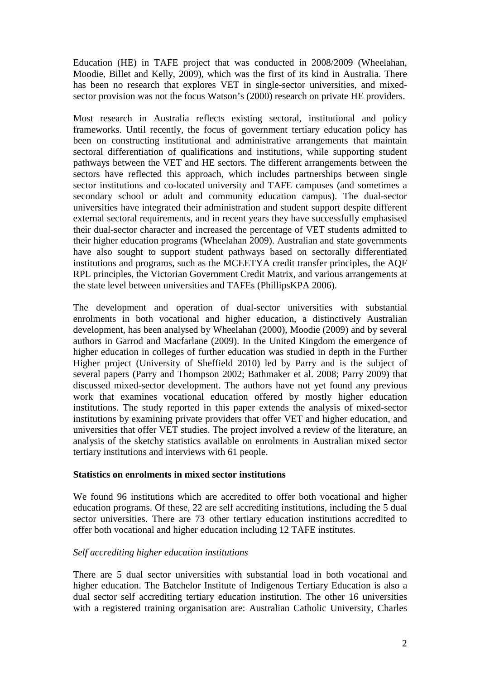Education (HE) in TAFE project that was conducted in 2008/2009 (Wheelahan, Moodie, Billet and Kelly, 2009), which was the first of its kind in Australia. There has been no research that explores VET in single-sector universities, and mixedsector provision was not the focus Watson's (2000) research on private HE providers.

Most research in Australia reflects existing sectoral, institutional and policy frameworks. Until recently, the focus of government tertiary education policy has been on constructing institutional and administrative arrangements that maintain sectoral differentiation of qualifications and institutions, while supporting student pathways between the VET and HE sectors. The different arrangements between the sectors have reflected this approach, which includes partnerships between single sector institutions and co-located university and TAFE campuses (and sometimes a secondary school or adult and community education campus). The dual-sector universities have integrated their administration and student support despite different external sectoral requirements, and in recent years they have successfully emphasised their dual-sector character and increased the percentage of VET students admitted to their higher education programs (Wheelahan 2009). Australian and state governments have also sought to support student pathways based on sectorally differentiated institutions and programs, such as the MCEETYA credit transfer principles, the AQF RPL principles, the Victorian Government Credit Matrix, and various arrangements at the state level between universities and TAFEs (PhillipsKPA 2006).

The development and operation of dual-sector universities with substantial enrolments in both vocational and higher education, a distinctively Australian development, has been analysed by Wheelahan (2000), Moodie (2009) and by several authors in Garrod and Macfarlane (2009). In the United Kingdom the emergence of higher education in colleges of further education was studied in depth in the Further Higher project (University of Sheffield 2010) led by Parry and is the subject of several papers (Parry and Thompson 2002; Bathmaker et al. 2008; Parry 2009) that discussed mixed-sector development. The authors have not yet found any previous work that examines vocational education offered by mostly higher education institutions. The study reported in this paper extends the analysis of mixed-sector institutions by examining private providers that offer VET and higher education, and universities that offer VET studies. The project involved a review of the literature, an analysis of the sketchy statistics available on enrolments in Australian mixed sector tertiary institutions and interviews with 61 people.

#### **Statistics on enrolments in mixed sector institutions**

We found 96 institutions which are accredited to offer both vocational and higher education programs. Of these, 22 are self accrediting institutions, including the 5 dual sector universities. There are 73 other tertiary education institutions accredited to offer both vocational and higher education including 12 TAFE institutes.

## *Self accrediting higher education institutions*

There are 5 dual sector universities with substantial load in both vocational and higher education. The Batchelor Institute of Indigenous Tertiary Education is also a dual sector self accrediting tertiary education institution. The other 16 universities with a registered training organisation are: Australian Catholic University, Charles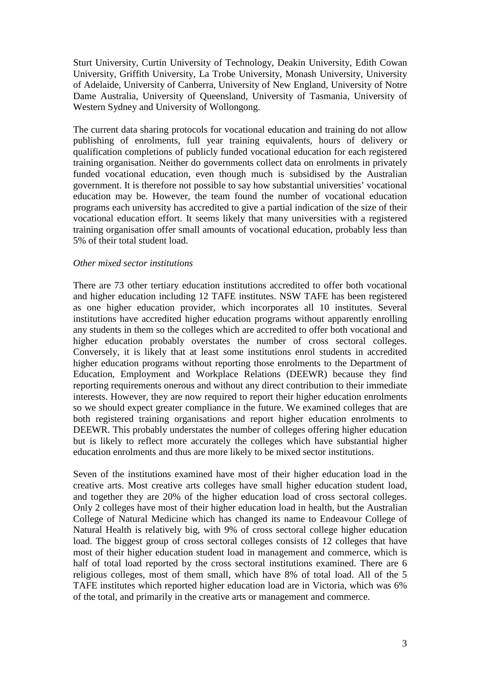Sturt University, Curtin University of Technology, Deakin University, Edith Cowan University, Griffith University, La Trobe University, Monash University, University of Adelaide, University of Canberra, University of New England, University of Notre Dame Australia, University of Queensland, University of Tasmania, University of Western Sydney and University of Wollongong.

The current data sharing protocols for vocational education and training do not allow publishing of enrolments, full year training equivalents, hours of delivery or qualification completions of publicly funded vocational education for each registered training organisation. Neither do governments collect data on enrolments in privately funded vocational education, even though much is subsidised by the Australian government. It is therefore not possible to say how substantial universities' vocational education may be. However, the team found the number of vocational education programs each university has accredited to give a partial indication of the size of their vocational education effort. It seems likely that many universities with a registered training organisation offer small amounts of vocational education, probably less than 5% of their total student load.

## *Other mixed sector institutions*

There are 73 other tertiary education institutions accredited to offer both vocational and higher education including 12 TAFE institutes. NSW TAFE has been registered as one higher education provider, which incorporates all 10 institutes. Several institutions have accredited higher education programs without apparently enrolling any students in them so the colleges which are accredited to offer both vocational and higher education probably overstates the number of cross sectoral colleges. Conversely, it is likely that at least some institutions enrol students in accredited higher education programs without reporting those enrolments to the Department of Education, Employment and Workplace Relations (DEEWR) because they find reporting requirements onerous and without any direct contribution to their immediate interests. However, they are now required to report their higher education enrolments so we should expect greater compliance in the future. We examined colleges that are both registered training organisations and report higher education enrolments to DEEWR. This probably understates the number of colleges offering higher education but is likely to reflect more accurately the colleges which have substantial higher education enrolments and thus are more likely to be mixed sector institutions.

Seven of the institutions examined have most of their higher education load in the creative arts. Most creative arts colleges have small higher education student load, and together they are 20% of the higher education load of cross sectoral colleges. Only 2 colleges have most of their higher education load in health, but the Australian College of Natural Medicine which has changed its name to Endeavour College of Natural Health is relatively big, with 9% of cross sectoral college higher education load. The biggest group of cross sectoral colleges consists of 12 colleges that have most of their higher education student load in management and commerce, which is half of total load reported by the cross sectoral institutions examined. There are 6 religious colleges, most of them small, which have 8% of total load. All of the 5 TAFE institutes which reported higher education load are in Victoria, which was 6% of the total, and primarily in the creative arts or management and commerce.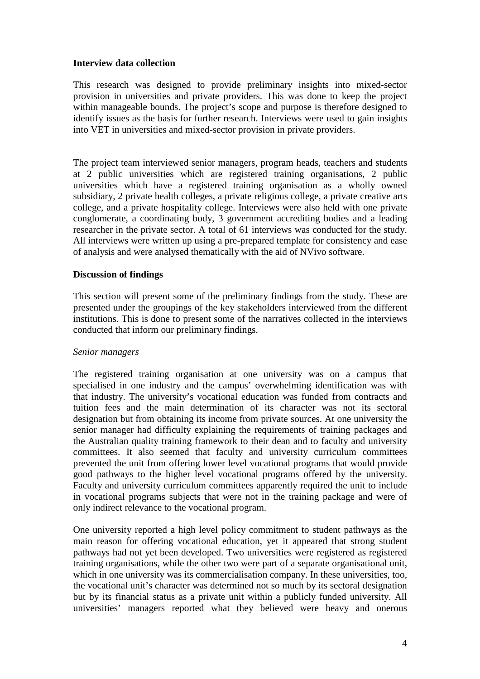## **Interview data collection**

This research was designed to provide preliminary insights into mixed-sector provision in universities and private providers. This was done to keep the project within manageable bounds. The project's scope and purpose is therefore designed to identify issues as the basis for further research. Interviews were used to gain insights into VET in universities and mixed-sector provision in private providers.

The project team interviewed senior managers, program heads, teachers and students at 2 public universities which are registered training organisations, 2 public universities which have a registered training organisation as a wholly owned subsidiary, 2 private health colleges, a private religious college, a private creative arts college, and a private hospitality college. Interviews were also held with one private conglomerate, a coordinating body, 3 government accrediting bodies and a leading researcher in the private sector. A total of 61 interviews was conducted for the study. All interviews were written up using a pre-prepared template for consistency and ease of analysis and were analysed thematically with the aid of NVivo software.

## **Discussion of findings**

This section will present some of the preliminary findings from the study. These are presented under the groupings of the key stakeholders interviewed from the different institutions. This is done to present some of the narratives collected in the interviews conducted that inform our preliminary findings.

#### *Senior managers*

The registered training organisation at one university was on a campus that specialised in one industry and the campus' overwhelming identification was with that industry. The university's vocational education was funded from contracts and tuition fees and the main determination of its character was not its sectoral designation but from obtaining its income from private sources. At one university the senior manager had difficulty explaining the requirements of training packages and the Australian quality training framework to their dean and to faculty and university committees. It also seemed that faculty and university curriculum committees prevented the unit from offering lower level vocational programs that would provide good pathways to the higher level vocational programs offered by the university. Faculty and university curriculum committees apparently required the unit to include in vocational programs subjects that were not in the training package and were of only indirect relevance to the vocational program.

One university reported a high level policy commitment to student pathways as the main reason for offering vocational education, yet it appeared that strong student pathways had not yet been developed. Two universities were registered as registered training organisations, while the other two were part of a separate organisational unit, which in one university was its commercialisation company. In these universities, too, the vocational unit's character was determined not so much by its sectoral designation but by its financial status as a private unit within a publicly funded university. All universities' managers reported what they believed were heavy and onerous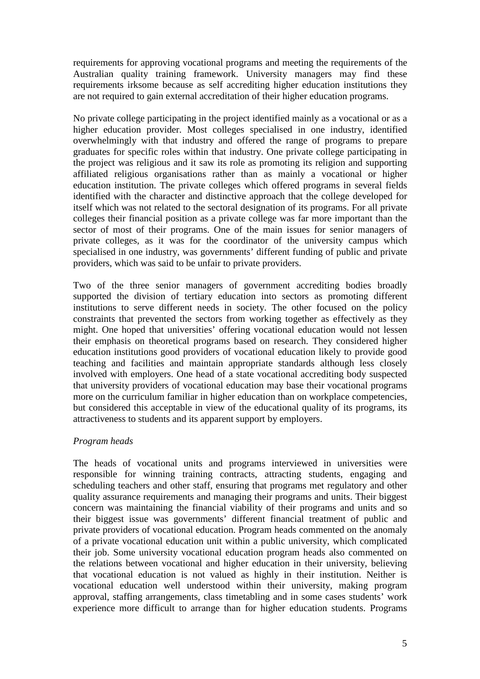requirements for approving vocational programs and meeting the requirements of the Australian quality training framework. University managers may find these requirements irksome because as self accrediting higher education institutions they are not required to gain external accreditation of their higher education programs.

No private college participating in the project identified mainly as a vocational or as a higher education provider. Most colleges specialised in one industry, identified overwhelmingly with that industry and offered the range of programs to prepare graduates for specific roles within that industry. One private college participating in the project was religious and it saw its role as promoting its religion and supporting affiliated religious organisations rather than as mainly a vocational or higher education institution. The private colleges which offered programs in several fields identified with the character and distinctive approach that the college developed for itself which was not related to the sectoral designation of its programs. For all private colleges their financial position as a private college was far more important than the sector of most of their programs. One of the main issues for senior managers of private colleges, as it was for the coordinator of the university campus which specialised in one industry, was governments' different funding of public and private providers, which was said to be unfair to private providers.

Two of the three senior managers of government accrediting bodies broadly supported the division of tertiary education into sectors as promoting different institutions to serve different needs in society. The other focused on the policy constraints that prevented the sectors from working together as effectively as they might. One hoped that universities' offering vocational education would not lessen their emphasis on theoretical programs based on research. They considered higher education institutions good providers of vocational education likely to provide good teaching and facilities and maintain appropriate standards although less closely involved with employers. One head of a state vocational accrediting body suspected that university providers of vocational education may base their vocational programs more on the curriculum familiar in higher education than on workplace competencies, but considered this acceptable in view of the educational quality of its programs, its attractiveness to students and its apparent support by employers.

## *Program heads*

The heads of vocational units and programs interviewed in universities were responsible for winning training contracts, attracting students, engaging and scheduling teachers and other staff, ensuring that programs met regulatory and other quality assurance requirements and managing their programs and units. Their biggest concern was maintaining the financial viability of their programs and units and so their biggest issue was governments' different financial treatment of public and private providers of vocational education. Program heads commented on the anomaly of a private vocational education unit within a public university, which complicated their job. Some university vocational education program heads also commented on the relations between vocational and higher education in their university, believing that vocational education is not valued as highly in their institution. Neither is vocational education well understood within their university, making program approval, staffing arrangements, class timetabling and in some cases students' work experience more difficult to arrange than for higher education students. Programs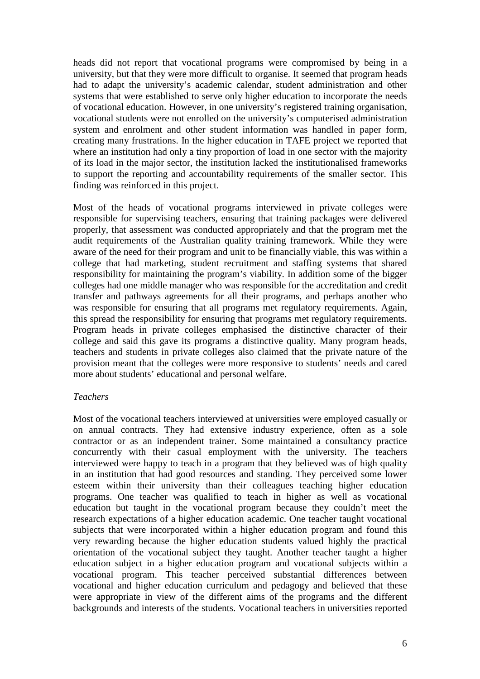heads did not report that vocational programs were compromised by being in a university, but that they were more difficult to organise. It seemed that program heads had to adapt the university's academic calendar, student administration and other systems that were established to serve only higher education to incorporate the needs of vocational education. However, in one university's registered training organisation, vocational students were not enrolled on the university's computerised administration system and enrolment and other student information was handled in paper form, creating many frustrations. In the higher education in TAFE project we reported that where an institution had only a tiny proportion of load in one sector with the majority of its load in the major sector, the institution lacked the institutionalised frameworks to support the reporting and accountability requirements of the smaller sector. This finding was reinforced in this project.

Most of the heads of vocational programs interviewed in private colleges were responsible for supervising teachers, ensuring that training packages were delivered properly, that assessment was conducted appropriately and that the program met the audit requirements of the Australian quality training framework. While they were aware of the need for their program and unit to be financially viable, this was within a college that had marketing, student recruitment and staffing systems that shared responsibility for maintaining the program's viability. In addition some of the bigger colleges had one middle manager who was responsible for the accreditation and credit transfer and pathways agreements for all their programs, and perhaps another who was responsible for ensuring that all programs met regulatory requirements. Again, this spread the responsibility for ensuring that programs met regulatory requirements. Program heads in private colleges emphasised the distinctive character of their college and said this gave its programs a distinctive quality. Many program heads, teachers and students in private colleges also claimed that the private nature of the provision meant that the colleges were more responsive to students' needs and cared more about students' educational and personal welfare.

#### *Teachers*

Most of the vocational teachers interviewed at universities were employed casually or on annual contracts. They had extensive industry experience, often as a sole contractor or as an independent trainer. Some maintained a consultancy practice concurrently with their casual employment with the university. The teachers interviewed were happy to teach in a program that they believed was of high quality in an institution that had good resources and standing. They perceived some lower esteem within their university than their colleagues teaching higher education programs. One teacher was qualified to teach in higher as well as vocational education but taught in the vocational program because they couldn't meet the research expectations of a higher education academic. One teacher taught vocational subjects that were incorporated within a higher education program and found this very rewarding because the higher education students valued highly the practical orientation of the vocational subject they taught. Another teacher taught a higher education subject in a higher education program and vocational subjects within a vocational program. This teacher perceived substantial differences between vocational and higher education curriculum and pedagogy and believed that these were appropriate in view of the different aims of the programs and the different backgrounds and interests of the students. Vocational teachers in universities reported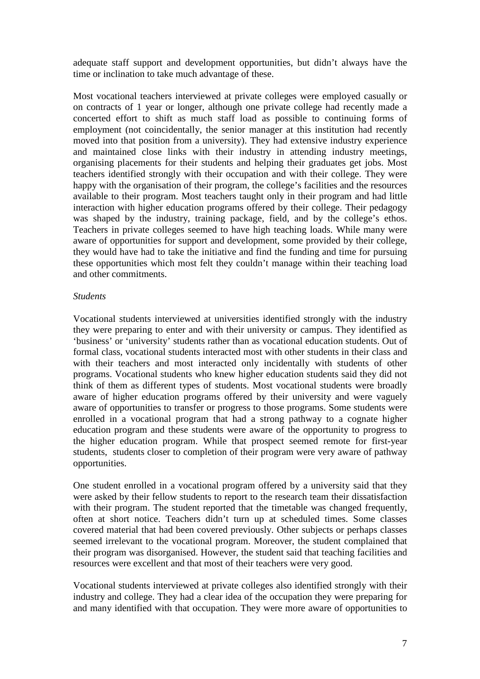adequate staff support and development opportunities, but didn't always have the time or inclination to take much advantage of these.

Most vocational teachers interviewed at private colleges were employed casually or on contracts of 1 year or longer, although one private college had recently made a concerted effort to shift as much staff load as possible to continuing forms of employment (not coincidentally, the senior manager at this institution had recently moved into that position from a university). They had extensive industry experience and maintained close links with their industry in attending industry meetings, organising placements for their students and helping their graduates get jobs. Most teachers identified strongly with their occupation and with their college. They were happy with the organisation of their program, the college's facilities and the resources available to their program. Most teachers taught only in their program and had little interaction with higher education programs offered by their college. Their pedagogy was shaped by the industry, training package, field, and by the college's ethos. Teachers in private colleges seemed to have high teaching loads. While many were aware of opportunities for support and development, some provided by their college, they would have had to take the initiative and find the funding and time for pursuing these opportunities which most felt they couldn't manage within their teaching load and other commitments.

#### *Students*

Vocational students interviewed at universities identified strongly with the industry they were preparing to enter and with their university or campus. They identified as 'business' or 'university' students rather than as vocational education students. Out of formal class, vocational students interacted most with other students in their class and with their teachers and most interacted only incidentally with students of other programs. Vocational students who knew higher education students said they did not think of them as different types of students. Most vocational students were broadly aware of higher education programs offered by their university and were vaguely aware of opportunities to transfer or progress to those programs. Some students were enrolled in a vocational program that had a strong pathway to a cognate higher education program and these students were aware of the opportunity to progress to the higher education program. While that prospect seemed remote for first-year students, students closer to completion of their program were very aware of pathway opportunities.

One student enrolled in a vocational program offered by a university said that they were asked by their fellow students to report to the research team their dissatisfaction with their program. The student reported that the timetable was changed frequently, often at short notice. Teachers didn't turn up at scheduled times. Some classes covered material that had been covered previously. Other subjects or perhaps classes seemed irrelevant to the vocational program. Moreover, the student complained that their program was disorganised. However, the student said that teaching facilities and resources were excellent and that most of their teachers were very good.

Vocational students interviewed at private colleges also identified strongly with their industry and college. They had a clear idea of the occupation they were preparing for and many identified with that occupation. They were more aware of opportunities to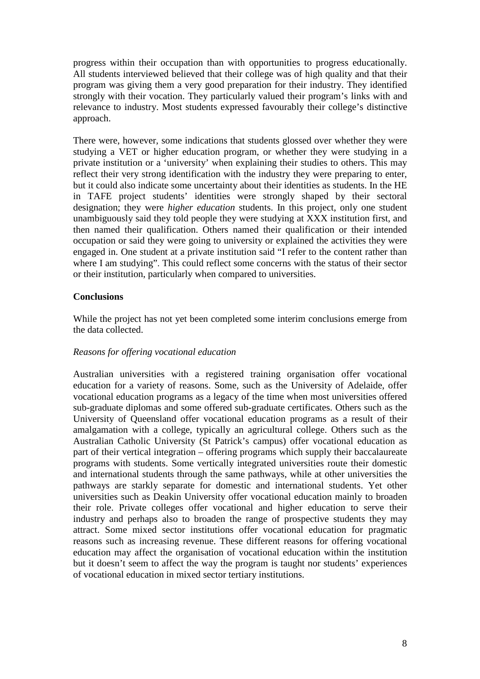progress within their occupation than with opportunities to progress educationally. All students interviewed believed that their college was of high quality and that their program was giving them a very good preparation for their industry. They identified strongly with their vocation. They particularly valued their program's links with and relevance to industry. Most students expressed favourably their college's distinctive approach.

There were, however, some indications that students glossed over whether they were studying a VET or higher education program, or whether they were studying in a private institution or a 'university' when explaining their studies to others. This may reflect their very strong identification with the industry they were preparing to enter, but it could also indicate some uncertainty about their identities as students. In the HE in TAFE project students' identities were strongly shaped by their sectoral designation; they were *higher education* students. In this project, only one student unambiguously said they told people they were studying at XXX institution first, and then named their qualification. Others named their qualification or their intended occupation or said they were going to university or explained the activities they were engaged in. One student at a private institution said "I refer to the content rather than where I am studying". This could reflect some concerns with the status of their sector or their institution, particularly when compared to universities.

## **Conclusions**

While the project has not yet been completed some interim conclusions emerge from the data collected.

#### *Reasons for offering vocational education*

Australian universities with a registered training organisation offer vocational education for a variety of reasons. Some, such as the University of Adelaide, offer vocational education programs as a legacy of the time when most universities offered sub-graduate diplomas and some offered sub-graduate certificates. Others such as the University of Queensland offer vocational education programs as a result of their amalgamation with a college, typically an agricultural college. Others such as the Australian Catholic University (St Patrick's campus) offer vocational education as part of their vertical integration – offering programs which supply their baccalaureate programs with students. Some vertically integrated universities route their domestic and international students through the same pathways, while at other universities the pathways are starkly separate for domestic and international students. Yet other universities such as Deakin University offer vocational education mainly to broaden their role. Private colleges offer vocational and higher education to serve their industry and perhaps also to broaden the range of prospective students they may attract. Some mixed sector institutions offer vocational education for pragmatic reasons such as increasing revenue. These different reasons for offering vocational education may affect the organisation of vocational education within the institution but it doesn't seem to affect the way the program is taught nor students' experiences of vocational education in mixed sector tertiary institutions.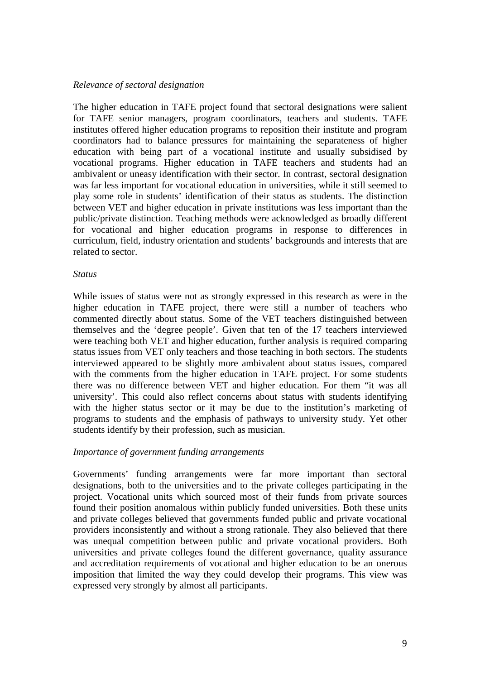#### *Relevance of sectoral designation*

The higher education in TAFE project found that sectoral designations were salient for TAFE senior managers, program coordinators, teachers and students. TAFE institutes offered higher education programs to reposition their institute and program coordinators had to balance pressures for maintaining the separateness of higher education with being part of a vocational institute and usually subsidised by vocational programs. Higher education in TAFE teachers and students had an ambivalent or uneasy identification with their sector. In contrast, sectoral designation was far less important for vocational education in universities, while it still seemed to play some role in students' identification of their status as students. The distinction between VET and higher education in private institutions was less important than the public/private distinction. Teaching methods were acknowledged as broadly different for vocational and higher education programs in response to differences in curriculum, field, industry orientation and students' backgrounds and interests that are related to sector.

#### *Status*

While issues of status were not as strongly expressed in this research as were in the higher education in TAFE project, there were still a number of teachers who commented directly about status. Some of the VET teachers distinguished between themselves and the 'degree people'. Given that ten of the 17 teachers interviewed were teaching both VET and higher education, further analysis is required comparing status issues from VET only teachers and those teaching in both sectors. The students interviewed appeared to be slightly more ambivalent about status issues, compared with the comments from the higher education in TAFE project. For some students there was no difference between VET and higher education. For them "it was all university'. This could also reflect concerns about status with students identifying with the higher status sector or it may be due to the institution's marketing of programs to students and the emphasis of pathways to university study. Yet other students identify by their profession, such as musician.

#### *Importance of government funding arrangements*

Governments' funding arrangements were far more important than sectoral designations, both to the universities and to the private colleges participating in the project. Vocational units which sourced most of their funds from private sources found their position anomalous within publicly funded universities. Both these units and private colleges believed that governments funded public and private vocational providers inconsistently and without a strong rationale. They also believed that there was unequal competition between public and private vocational providers. Both universities and private colleges found the different governance, quality assurance and accreditation requirements of vocational and higher education to be an onerous imposition that limited the way they could develop their programs. This view was expressed very strongly by almost all participants.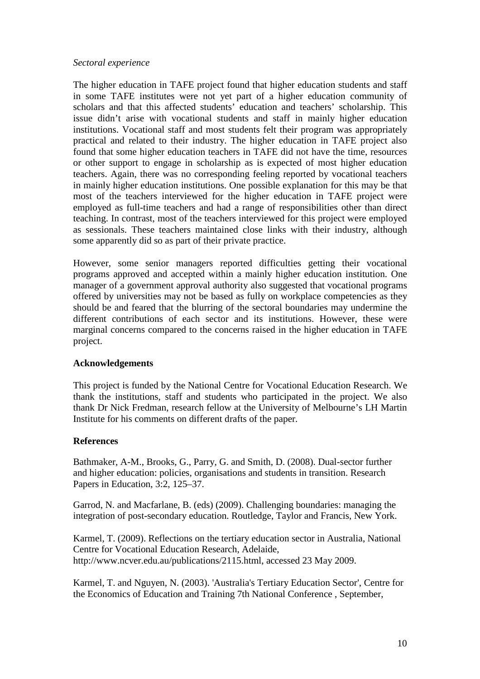#### *Sectoral experience*

The higher education in TAFE project found that higher education students and staff in some TAFE institutes were not yet part of a higher education community of scholars and that this affected students' education and teachers' scholarship. This issue didn't arise with vocational students and staff in mainly higher education institutions. Vocational staff and most students felt their program was appropriately practical and related to their industry. The higher education in TAFE project also found that some higher education teachers in TAFE did not have the time, resources or other support to engage in scholarship as is expected of most higher education teachers. Again, there was no corresponding feeling reported by vocational teachers in mainly higher education institutions. One possible explanation for this may be that most of the teachers interviewed for the higher education in TAFE project were employed as full-time teachers and had a range of responsibilities other than direct teaching. In contrast, most of the teachers interviewed for this project were employed as sessionals. These teachers maintained close links with their industry, although some apparently did so as part of their private practice.

However, some senior managers reported difficulties getting their vocational programs approved and accepted within a mainly higher education institution. One manager of a government approval authority also suggested that vocational programs offered by universities may not be based as fully on workplace competencies as they should be and feared that the blurring of the sectoral boundaries may undermine the different contributions of each sector and its institutions. However, these were marginal concerns compared to the concerns raised in the higher education in TAFE project.

#### **Acknowledgements**

This project is funded by the National Centre for Vocational Education Research. We thank the institutions, staff and students who participated in the project. We also thank Dr Nick Fredman, research fellow at the University of Melbourne's LH Martin Institute for his comments on different drafts of the paper.

#### **References**

Bathmaker, A-M., Brooks, G., Parry, G. and Smith, D. (2008). Dual-sector further and higher education: policies, organisations and students in transition. Research Papers in Education, 3:2, 125–37.

Garrod, N. and Macfarlane, B. (eds) (2009). Challenging boundaries: managing the integration of post-secondary education. Routledge, Taylor and Francis, New York.

Karmel, T. (2009). Reflections on the tertiary education sector in Australia, National Centre for Vocational Education Research, Adelaide, http://www.ncver.edu.au/publications/2115.html, accessed 23 May 2009.

Karmel, T. and Nguyen, N. (2003). 'Australia's Tertiary Education Sector', Centre for the Economics of Education and Training 7th National Conference , September,